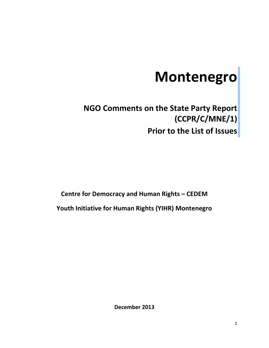# **Montenegro**

# **NGO Comments on the State Party Report (CCPR/C/MNE/1) Prior to the List of Issues**

**Centre for Democracy and Human Rights – CEDEM Youth Initiative for Human Rights (YIHR) Montenegro**

**December 2013**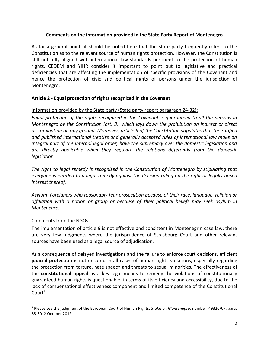#### **Comments on the information provided in the State Party Report of Montenegro**

As for a general point, it should be noted here that the State party frequently refers to the Constitution as to the relevant source of human rights protection. However, the Constitution is still not fully aligned with international law standards pertinent to the protection of human rights. CEDEM and YIHR consider it important to point out to legislative and practical deficiencies that are affecting the implementation of specific provisions of the Covenant and hence the protection of civic and political rights of persons under the jurisdiction of Montenegro.

# **Article 2 - Equal protection of rights recognized in the Covenant**

# Information provided by the State party (State party report paragraph 24-32):

*Equal protection of the rights recognized in the Covenant is guaranteed to all the persons in Montenegro by the Constitution (art. 8), which lays down the prohibition on indirect or direct discrimination on any ground. Moreover, article 9 of the Constitution stipulates that the ratified and published international treaties and generally accepted rules of international law make an integral part of the internal legal order, have the supremacy over the domestic legislation and are directly applicable when they regulate the relations differently from the domestic legislation.* 

*The right to legal remedy is recognized in the Constitution of Montenegro by stipulating that everyone is entitled to a legal remedy against the decision ruling on the right or legally based interest thereof.*

*Asylum–Foreigners who reasonably fear prosecution because of their race, language, religion or affiliation with a nation or group or because of their political beliefs may seek asylum in Montenegro.* 

# Comments from the NGOs:

The implementation of article 9 is not effective and consistent in Montenegrin case law; there are very few judgments where the jurisprudence of Strasbourg Court and other relevant sources have been used as a legal source of adjudication.

As a consequence of delayed investigations and the failure to enforce court decisions, efficient **judicial protection** is not ensured in all cases of human rights violations, especially regarding the protection from torture, hate speech and threats to sexual minorities. The effectiveness of the **constitutional appeal** as a key legal means to remedy the violations of constitutionally guaranteed human rights is questionable, in terms of its efficiency and accessibility, due to the lack of compensational effectiveness component and limited competence of the Constitutional  $\text{Court}^1$ .

l 1 Please see the judgment of the European Court of Human Rights: *Stakid v . Montenegro*, number: 49320/07, para. 55-60, 2 October 2012.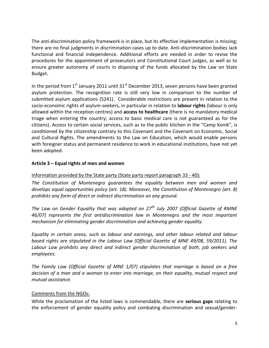The anti-discrimination policy framework is in place, but its effective implementation is missing; there are no final judgments in discrimination cases up to date. Anti-discrimination bodies lack functional and financial independence. Additional efforts are needed in order to revise the procedures for the appointment of prosecutors and Constitutional Court judges, as well as to ensure greater autonomy of courts in disposing of the funds allocated by the Law on State Budget.

In the period from  $1<sup>st</sup>$  January 2011 until 31 $<sup>st</sup>$  December 2013, seven persons have been granted</sup> asylum protection. The recognition rate is still very low in comparison to the number of submitted asylum applications (5241). Considerable restrictions are present in relation to the socio-economic rights of asylum-seekers, in particular in relation to **labour rights** (labour is only allowed within the reception centres) and **access to healthcare** (there is no mandatory medical triage when entering the country; access to basic medical care is not guaranteed as for the citizens). Access to certain social services, such as to the public kitchen in the "Camp Konik", is conditioned by the citizenship contrary to this Covenant and the Covenant on Economic, Social and Cultural Rights. The amendments to the Law on Education, which would enable persons with foreigner status and permanent residence to work in educational institutions, have not yet been adopted.

# **Article 3 – Equal rights of men and women**

#### Information provided by the State party (State party report paragraph 33 - 40):

*The Constitution of Montenegro guarantees the equality between men and women and develops equal opportunities policy (art. 18). Moreover, the Constitution of Montenegro (art. 8) prohibits any form of direct or indirect discrimination on any ground.*

*The Law on Gender Equality that was adopted on 27th July 2007 (Official Gazette of RMNE 46/07) represents the first antidiscrimination law in Montenegro and the most important mechanism for eliminating gender discrimination and achieving gender equality.*

*Equality in certain areas, such as labour and earnings, and other labour related and labour based rights are stipulated in the Labour Law (Official Gazette of MNE 49/08, 59/2011). The Labour Law prohibits any direct and indirect gender discrimination of both, job seekers and employees.*

*The Family Law (Official Gazette of MNE 1/07) stipulates that marriage is based on a free decision of a man and a woman to enter into marriage, on their equality, mutual respect and mutual assistance.* 

#### Comments from the NGOs:

While the proclamation of the listed laws is commendable, there are **serious gaps** relating to the enforcement of gender equality policy and combating discrimination and sexual/gender-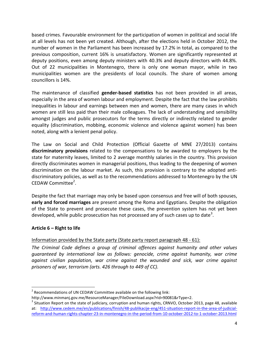based crimes. Favourable environment for the participation of women in political and social life at all levels has not been yet created. Although, after the elections held in October 2012, the number of women in the Parliament has been increased by 17.2% in total, as compared to the previous composition, current 16% is unsatisfactory. Women are significantly represented at deputy positions, even among deputy ministers with 40.3% and deputy directors with 44.8%. Out of 22 municipalities in Montenegro, there is only one woman mayor, while in two municipalities women are the presidents of local councils. The share of women among councillors is 14%.

The maintenance of classified **gender-based statistics** has not been provided in all areas, especially in the area of women labour and employment. Despite the fact that the law prohibits inequalities in labour and earnings between men and women, there are many cases in which women are still less paid than their male colleagues. The lack of understanding and sensibility amongst judges and public prosecutors for the terms directly or indirectly related to gender equality (discrimination, mobbing, economic violence and violence against women) has been noted, along with a lenient penal policy.

The Law on Social and Child Protection (Official Gazette of MNE 27/2013) contains **discriminatory provisions** related to the compensations to be awarded to employers by the state for maternity leaves, limited to 2 average monthly salaries in the country. This provision directly discriminates women in managerial positions, thus leading to the deepening of women discrimination on the labour market. As such, this provision is contrary to the adopted antidiscriminatory policies, as well as to the recommendations addressed to Montenegro by the UN CEDAW Committee<sup>2</sup>.

Despite the fact that marriage may only be based upon consensus and free will of both spouses, **early and forced marriages** are present among the Roma and Egyptians. Despite the obligation of the State to prevent and prosecute these cases, the prevention system has not yet been developed, while public prosecution has not processed any of such cases up to date<sup>3</sup>.

# **Article 6 – Right to life**

l

# Information provided by the State party (State party report paragraph 48 - 61):

*The Criminal Code defines a group of criminal offences against humanity and other values guaranteed by international law as follows: genocide, crime against humanity, war crime against civilian population, war crime against the wounded and sick, war crime against prisoners of war, terrorism (arts. 426 through to 449 of CC).* 

 $2^{2}$  Recommendations of UN CEDAW Committee available on the following link:

http://www.minmanj.gov.me/ResourceManager/FileDownload.aspx?rId=90081&rType=2.

 $^3$  Situation Report on the state of judiciary, corruption and human rights, CRNVO, October 2013, page 48, available at: [http://www.cedem.me/en/publications/finish/48-publikacije-eng/451-situation-report-in-the-area-of-judicial](http://www.cedem.me/en/publications/finish/48-publikacije-eng/451-situation-report-in-the-area-of-judicial-reform-and-human-rights-chapter-23-in-montenegro-in-the-period-from-10-october-2012-to-1-october-2013.html)[reform-and-human-rights-chapter-23-in-montenegro-in-the-period-from-10-october-2012-to-1-october-2013.html](http://www.cedem.me/en/publications/finish/48-publikacije-eng/451-situation-report-in-the-area-of-judicial-reform-and-human-rights-chapter-23-in-montenegro-in-the-period-from-10-october-2012-to-1-october-2013.html)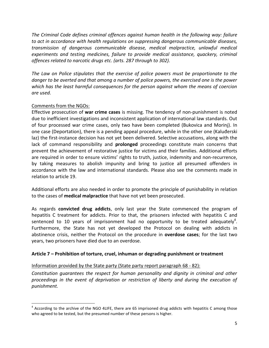*The Criminal Code defines criminal offences against human health in the following way: failure to act in accordance with health regulations on suppressing dangerous communicable diseases, transmission of dangerous communicable disease, medical malpractice, unlawful medical experiments and testing medicines, failure to provide medical assistance, quackery, criminal offences related to narcotic drugs etc. (arts. 287 through to 302).*

*The Law on Police stipulates that the exercise of police powers must be proportionate to the danger to be averted and that among a number of police powers, the exercised one is the power which has the least harmful consequences for the person against whom the means of coercion are used.* 

# Comments from the NGOs:

l

Effective prosecution of **war crime cases** is missing. The tendency of non-punishment is noted due to inefficient investigations and inconsistent application of international law standards. Out of four processed war crime cases, only two have been completed (Bukovica and Morinj). In one case (Deportation), there is a pending appeal procedure, while in the other one (Kaluđerski laz) the first-instance decision has not yet been delivered. Selective accusations, along with the lack of command responsibility and **prolonged** proceedings constitute main concerns that prevent the achievement of restorative justice for victims and their families. Additional efforts are required in order to ensure victims' rights to truth, justice, indemnity and non-recurrence, by taking measures to abolish impunity and bring to justice all presumed offenders in accordance with the law and international standards. Please also see the comments made in relation to article 19.

Additional efforts are also needed in order to promote the principle of punishability in relation to the cases of **medical malpractice** that have not yet been prosecuted.

As regards **convicted drug addicts**, only last year the State commenced the program of hepatitis C treatment for addicts. Prior to that, the prisoners infected with hepatitis C and sentenced to 10 years of imprisonment had no opportunity to be treated adequately<sup>4</sup>. Furthermore, the State has not yet developed the Protocol on dealing with addicts in abstinence crisis, neither the Protocol on the procedure in **overdose cases**; for the last two years, two prisoners have died due to an overdose.

# **Article 7 – Prohibition of torture, cruel, inhuman or degrading punishment or treatment**

# Information provided by the State party (State party report paragraph 68 - 82):

*Constitution guarantees the respect for human personality and dignity in criminal and other proceedings in the event of deprivation or restriction of liberty and during the execution of punishment.* 

 $^4$  According to the archive of the NGO 4LIFE, there are 65 imprisoned drug addicts with hepatitis C among those who agreed to be tested, but the presumed number of these persons is higher.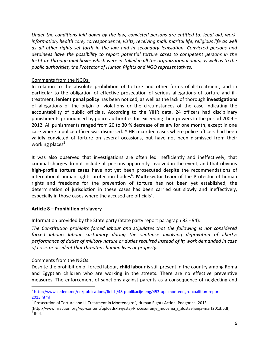*Under the conditions laid down by the law, convicted persons are entitled to: legal aid, work, information, health care, correspondence, visits, receiving mail, marital life, religious life as well as all other rights set forth in the law and in secondary legislation. Convicted persons and detainees have the possibility to report potential torture cases to competent persons in the Institute through mail boxes which were installed in all the organizational units, as well as to the public authorities, the Protector of Human Rights and NGO representatives.*

# Comments from the NGOs:

In relation to the absolute prohibition of torture and other forms of ill-treatment, and in particular to the obligation of effective prosecution of serious allegations of torture and illtreatment, **lenient penal policy** has been noticed, as well as the lack of thorough **investigations** of allegations of the origin of violations or the circumstances of the case indicating the accountability of public officials. According to the YIHR data, 24 officers had disciplinary punishments pronounced by police authorities for exceeding their powers in the period 2009 – 2012. All punishments ranged from 20 to 30 % decrease of salary for one month, except in one case where a police officer was dismissed. YIHR recorded cases where police officers had been validly convicted of torture on several occasions, but have not been dismissed from their working places<sup>5</sup>.

It was also observed that investigations are often led inefficiently and ineffectively; that criminal charges do not include all persons apparently involved in the event, and that obvious **high-profile torture cases** have not yet been prosecuted despite the recommendations of international human rights protection bodies<sup>6</sup>. Multi-sector team of the Protector of human rights and freedoms for the prevention of torture has not been yet established, the determination of jurisdiction in these cases has been carried out slowly and ineffectively, especially in those cases where the accused are officials<sup>7</sup>.

# **Article 8 – Prohibition of slavery**

# Information provided by the State party (State party report paragraph 82 - 94):

*The Constitution prohibits forced labour and stipulates that the following is not considered forced labour: labour customary during the sentence involving deprivation of liberty; performance of duties of military nature or duties required instead of it; work demanded in case of crisis or accident that threatens human lives or property.*

# Comments from the NGOs:

 $\overline{a}$ 

Despite the prohibition of forced labour, **child labour** is still present in the country among Roma and Egyptian children who are working in the streets. There are no effective preventive measures. The enforcement of sanctions against parents as a consequence of neglecting and

<sup>&</sup>lt;sup>5</sup> [http://www.cedem.me/en/publications/finish/48-publikacije-eng/453-upr-montenegro-coalition-report-](http://www.cedem.me/en/publications/finish/48-publikacije-eng/453-upr-montenegro-coalition-report-2013.html)[2013.html](http://www.cedem.me/en/publications/finish/48-publikacije-eng/453-upr-montenegro-coalition-report-2013.html)

<sup>&</sup>lt;sup>6</sup> Prosecution of Torture and Ill-Treatment in Montenegro", Human Rights Action, Podgorica, 2013 (http://www.hraction.org/wp-content/uploads/Izvjestaj-Procesuiranje\_mucenja\_i\_zlostavljanja-mart2013.pdf)  $^7$  Ibid.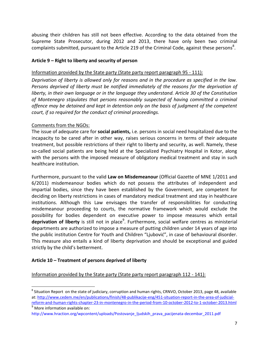abusing their children has still not been effective. According to the data obtained from the Supreme State Prosecutor, during 2012 and 2013, there have only been two criminal complaints submitted, pursuant to the Article 219 of the Criminal Code, against these persons<sup>8</sup>.

# **Article 9 – Right to liberty and security of person**

Information provided by the State party (State party report paragraph 95 - 111):

*Deprivation of liberty is allowed only for reasons and in the procedure as specified in the law. Persons deprived of liberty must be notified immediately of the reasons for the deprivation of liberty, in their own language or in the language they understand. Article 30 of the Constitution of Montenegro stipulates that persons reasonably suspected of having committed a criminal offence may be detained and kept in detention only on the basis of judgment of the competent court, if so required for the conduct of criminal proceedings.*

# Comments from the NGOs:

The issue of adequate care for **social patients,** i.e. persons in social need hospitalized due to the incapacity to be cared after in other way, raises serious concerns in terms of their adequate treatment, but possible restrictions of their right to liberty and security, as well. Namely, these so-called social patients are being held at the Specialized Psychiatry Hospital in Kotor, along with the persons with the imposed measure of obligatory medical treatment and stay in such healthcare institution.

Furthermore, pursuant to the valid **Law on Misdemeanour** (Official Gazette of MNE 1/2011 and 6/2011) misdemeanour bodies which do not possess the attributes of independent and impartial bodies, since they have been established by the Government, are competent for deciding on liberty restrictions in cases of mandatory medical treatment and stay in healthcare institutions. Although this Law envisages the transfer of responsibilities for conducting misdemeanour proceeding to courts, the normative framework which would exclude the possibility for bodies dependent on executive power to impose measures which entail deprivation of liberty is still not in place<sup>9</sup>. Furthermore, social welfare centres as ministerial departments are authorized to impose a measure of putting children under 14 years of age into the public institution Centre for Youth and Children "Ljubović", in case of behavioural disorder. This measure also entails a kind of liberty deprivation and should be exceptional and guided strictly by the child's betterment.

# **Article 10 – Treatment of persons deprived of liberty**

Information provided by the State party (State party report paragraph 112 - 141):

 $\sqrt[9]{9}$  More information available on:

 $\overline{a}$ 

 $^8$  Situation Report on the state of judiciary, corruption and human rights, CRNVO, October 2013, page 48, available at: [http://www.cedem.me/en/publications/finish/48-publikacije-eng/451-situation-report-in-the-area-of-judicial](http://www.cedem.me/en/publications/finish/48-publikacije-eng/451-situation-report-in-the-area-of-judicial-reform-and-human-rights-chapter-23-in-montenegro-in-the-period-from-10-october-2012-to-1-october-2013.html)[reform-and-human-rights-chapter-23-in-montenegro-in-the-period-from-10-october-2012-to-1-october-2013.html](http://www.cedem.me/en/publications/finish/48-publikacije-eng/451-situation-report-in-the-area-of-judicial-reform-and-human-rights-chapter-23-in-montenegro-in-the-period-from-10-october-2012-to-1-october-2013.html)

http://www.hraction.org/wpcontent/uploads/Postovanje\_ljudskih\_prava\_pacijenata-decembar\_2011.pdf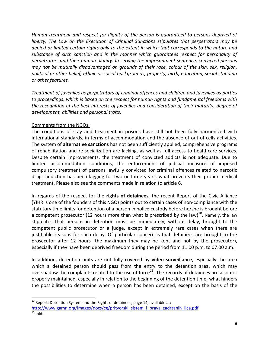*Human treatment and respect for dignity of the person is guaranteed to persons deprived of liberty. The Law on the Execution of Criminal Sanctions stipulates that perpetrators may be denied or limited certain rights only to the extent in which that corresponds to the nature and substance of such sanction and in the manner which guarantees respect for personality of perpetrators and their human dignity. In serving the imprisonment sentence, convicted persons may not be mutually disadvantaged on grounds of their race, colour of the skin, sex, religion, political or other belief, ethnic or social backgrounds, property, birth, education, social standing or other features.*

*Treatment of juveniles as perpetrators of criminal offences and children and juveniles as parties to proceedings, which is based on the respect for human rights and fundamental freedoms with the recognition of the best interests of juveniles and consideration of their maturity, degree of development, abilities and personal traits.*

#### Comments from the NGOs:

 $\overline{\phantom{a}}$ 

The conditions of stay and treatment in prisons have still not been fully harmonized with international standards, in terms of accommodation and the absence of out-of-cells activities. The system of **alternative sanctions** has not been sufficiently applied, comprehensive programs of rehabilitation and re-socialization are lacking, as well as full access to healthcare services. Despite certain improvements, the treatment of convicted addicts is not adequate. Due to limited accommodation conditions, the enforcement of judicial measure of imposed compulsory treatment of persons lawfully convicted for criminal offences related to narcotic drugs addiction has been lagging for two or three years, what prevents their proper medical treatment. Please also see the comments made in relation to article 6.

In regards of the respect for the **rights of detainees**, the recent Report of the Civic Alliance (YIHR is one of the founders of this NGO) points out to certain cases of non-compliance with the statutory time limits for detention of a person in police custody before he/she is brought before a competent prosecutor (12 hours more than what is prescribed by the law)<sup>10</sup>. Namely, the law stipulates that persons in detention must be immediately, without delay, brought to the competent public prosecutor or a judge, except in extremely rare cases when there are justifiable reasons for such delay. Of particular concern is that detainees are brought to the prosecutor after 12 hours (the maximum they may be kept and not by the prosecutor), especially if they have been deprived freedom during the period from 11:00 p.m. to 07:00 a.m.

In addition, detention units are not fully covered by **video surveillance**, especially the area which a detained person should pass from the entry to the detention area, which may overshadow the complaints related to the use of force<sup>11</sup>. The **records** of detainees are also not properly maintained, especially in relation to the beginning of the detention time, what hinders the possibilities to determine when a person has been detained, except on the basis of the

 $10$  Report: Detention System and the Rights of detainees, page 14, available at: [http://www.gamn.org/images/docs/cg/pritvorski\\_sistem\\_i\\_prava\\_zadrzanih\\_lica.pdf](http://www.gamn.org/images/docs/cg/pritvorski_sistem_i_prava_zadrzanih_lica.pdf)  $\frac{1}{11}$  Ibid.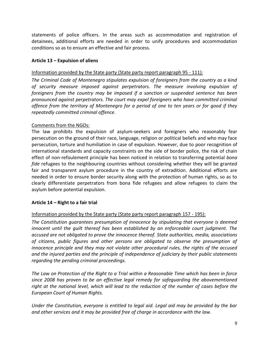statements of police officers. In the areas such as accommodation and registration of detainees, additional efforts are needed in order to unify procedures and accommodation conditions so as to ensure an effective and fair process.

# **Article 13 – Expulsion of aliens**

#### Information provided by the State party (State party report paragraph 95 - 111):

*The Criminal Code of Montenegro stipulates expulsion of foreigners from the country as a kind of security measure imposed against perpetrators. The measure involving expulsion of foreigners from the country may be imposed if a sanction or suspended sentence has been pronounced against perpetrators. The court may expel foreigners who have committed criminal offence from the territory of Montenegro for a period of one to ten years or for good if they repeatedly committed criminal offence.*

#### Comments from the NGOs:

The law prohibits the expulsion of asylum-seekers and foreigners who reasonably fear persecution on the ground of their race, language, religion or political beliefs and who may face persecution, torture and humiliation in case of expulsion. However, due to poor recognition of international standards and capacity constraints on the side of border police, the risk of chain effect of non-refoulement principle has been noticed in relation to transferring potential *bona fide* refugees to the neighbouring countries without considering whether they will be granted fair and transparent asylum procedure in the country of extradition. Additional efforts are needed in order to ensure border security along with the protection of human rights, so as to clearly differentiate perpetrators from bona fide refugees and allow refugees to claim the asylum before potential expulsion.

# **Article 14 – Right to a fair trial**

#### Information provided by the State party (State party report paragraph 157 - 195):

*The Constitution guarantees presumption of innocence by stipulating that everyone is deemed innocent until the quilt thereof has been established by an enforceable court judgment. The accused are not obligated to prove the innocence thereof. State authorities, media, associations of citizens, public figures and other persons are obligated to observe the presumption of innocence principle and they may not violate other procedural rules, the rights of the accused and the injured parties and the principle of independence of judiciary by their public statements regarding the pending criminal proceedings.*

*The Law on Protection of the Right to a Trial within a Reasonable Time which has been in force since 2008 has proven to be an effective legal remedy for safeguarding the abovementioned right at the national level, which will lead to the reduction of the number of cases before the European Court of Human Rights.*

*Under the Constitution, everyone is entitled to legal aid. Legal aid may be provided by the bar and other services and it may be provided free of charge in accordance with the law.*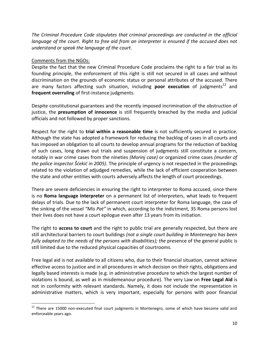*The Criminal Procedure Code stipulates that criminal proceedings are conducted in the official language of the court. Right to free aid from an interpreter is ensured if the accused does not understand or speak the language of the court.* 

#### Comments from the NGOs:

Despite the fact that the new Criminal Procedure Code proclaims the right to a fair trial as its founding principle, the enforcement of this right is still not secured in all cases and without discrimination on the grounds of economic status or personal attributes of the accused. There are many factors affecting such situation, including **poor execution** of judgments<sup>12</sup> and **frequent overruling** of first-instance judgments.

Despite constitutional guarantees and the recently imposed incrimination of the obstruction of justice, the **presumption of innocence** is still frequently breached by the media and judicial officials and not followed by proper sanctions.

Respect for the right to **trial within a reasonable time** is not sufficiently secured in practice. Although the state has adopted a framework for reducing the backlog of cases in all courts and has imposed an obligation to all courts to develop annual programs for the reduction of backlog of such cases, long drawn out trials and suspension of judgments still constitute a concern, notably in war crime cases from the nineties *(Morinj case)* or organized crime cases *(murder of the police inspector Šdekid in 2005)*. The principle of urgency is not respected in the proceedings related to the violation of adjudged remedies, while the lack of efficient cooperation between the state and other entities with courts adversely affects the length of court proceedings.

There are severe deficiencies in ensuring the right to interpreter to Roma accused, since there is no **Roma language interpreter** on a permanent list of interpreters, what leads to frequent delays of trials. Due to the lack of permanent court interpreter for Roma language, the case of the sinking of the vessel *"Mis Pat"* in which, according to the indictment, 35 Roma persons lost their lives does not have a court epilogue even after 13 years from its initiation.

The right to **access to court** and the right to public trial are generally respected, but there are still architectural barriers to court buildings *(not a single court building in Montenegro has been fully adapted to the needs of the persons with disabilities); the presence of the general public is* still limited due to the reduced physical capacities of courtrooms.

Free legal aid is not available to all citizens who, due to their financial situation, cannot achieve effective access to justice and in all procedures in which decision on their rights, obligations and legally based interests is made (e.g. in administrative procedure to which the largest number of violations is bound, as well as in misdemeanour procedure). The very Law on **Free Legal Aid** is not in conformity with relevant standards. Namely, it does not include the representation in administrative matters, which is very important, especially for persons with poor financial

l <sup>12</sup> There are 15000 non-executed final court judgments in Montenegro, some of which have become valid and enforceable years ago.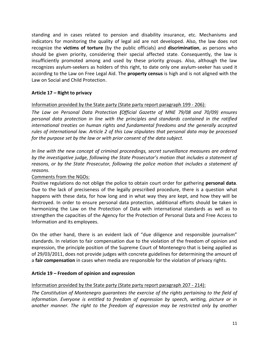standing and in cases related to pension and disability insurance, etc. Mechanisms and indicators for monitoring the quality of legal aid are not developed. Also, the law does not recognize the **victims of torture** (by the public officials) and **discrimination**, as persons who should be given priority, considering their special affected state. Consequently, the law is insufficiently promoted among and used by these priority groups. Also, although the law recognizes asylum-seekers as holders of this right, to date only one asylum-seeker has used it according to the Law on Free Legal Aid. The **property census** is high and is not aligned with the Law on Social and Child Protection.

# **Article 17 – Right to privacy**

#### Information provided by the State party (State party report paragraph 199 - 206):

*The Law on Personal Data Protection (Official Gazette of MNE 79/08 and 70/09) ensures personal data protection in line with the principles and standards contained in the ratified international treaties on human rights and fundamental freedoms and the generally accepted rules of international law. Article 2 of this Law stipulates that personal data may be processed for the purpose set by the law or with prior consent of the data subject.*

*In line with the new concept of criminal proceedings, secret surveillance measures are ordered by the investigative judge, following the State Prosecutor's motion that includes a statement of reasons, or by the State Prosecutor, following the police motion that includes a statement of reasons.*

#### Comments from the NGOs:

Positive regulations do not oblige the police to obtain court order for gathering **personal data**. Due to the lack of preciseness of the legally prescribed procedure, there is a question what happens with these data, for how long and in what way they are kept, and how they will be destroyed. In order to ensure personal data protection, additional efforts should be taken in harmonizing the Law on the Protection of Data with international standards as well as to strengthen the capacities of the Agency for the Protection of Personal Data and Free Access to Information and its employees.

On the other hand, there is an evident lack of "due diligence and responsible journalism" standards. In relation to fair compensation due to the violation of the freedom of opinion and expression, the principle position of the Supreme Court of Montenegro that is being applied as of 29/03/2011, does not provide judges with concrete guidelines for determining the amount of a **fair compensation** in cases when media are responsible for the violation of privacy rights.

# **Article 19 – Freedom of opinion and expression**

# Information provided by the State party (State party report paragraph 207 - 214):

*The Constitution of Montenegro guarantees the exercise of the rights pertaining to the field of information. Everyone is entitled to freedom of expression by speech, writing, picture or in another manner. The right to the freedom of expression may be restricted only by another*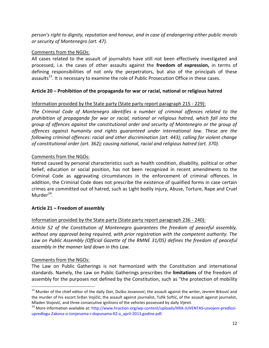*person's right to dignity, reputation and honour, and in case of endangering either public morals or security of Montenegro (art. 47).*

# Comments from the NGOs:

All cases related to the assault of journalists have still not been effectively investigated and processed, i.e. the cases of other assaults against the **freedom of expression,** in terms of defining responsibilities of not only the perpetrators, but also of the principals of these assaults<sup>13</sup>. It is necessary to examine the role of Public Prosecution Office in these cases.

# **Article 20 – Prohibition of the propaganda for war or racial, national or religious hatred**

# Information provided by the State party (State party report paragraph 215 - 229):

*The Criminal Code of Montenegro identifies a number of criminal offences related to the prohibition of propaganda for war or racial, national or religious hatred, which fall into the group of offences against the constitutional order and security of Montenegro or the group of offences against humanity and rights guaranteed under international law. These are the following criminal offences: racial and other discrimination (art. 443); calling for violent change of constitutional order (art. 362); causing national, racial and religious hatred (art. 370).* 

# Comments from the NGOs:

Hatred caused by personal characteristics such as health condition, disability, political or other belief, education or social position, has not been recognized in recent amendments to the Criminal Code as aggravating circumstances in the enforcement of criminal offences. In addition, the Criminal Code does not prescribe the existence of qualified forms in case certain crimes are committed out of hatred, such as Light bodily injury, Abuse, Torture, Rape and Cruel Murder*<sup>14</sup> .*

# **Article 21 – Freedom of assembly**

# Information provided by the State party (State party report paragraph 236 - 240):

*Article 52 of the Constitution of Montenegro guarantees the freedom of peaceful assembly, without any approval being required, with prior registration with the competent authority. The Law on Public Assembly (Official Gazette of the RMNE 31/05) defines the freedom of peaceful assembly in the manner laid down in this Law.* 

# Comments from the NGOs:

 $\overline{a}$ 

The Law on Public Gatherings is not harmonized with the Constitution and international standards. Namely, the Law on Public Gatherings prescribes the **limitations** of the freedom of assembly for the purposes not defined by the Constitution, such as "the protection of mobility

<sup>&</sup>lt;sup>13</sup> Murder of the chief editor of the daily *Dan*, Duško Jovanović; the assault against the writer, Jevrem Brković and the murder of his escort Srđan Vojičić; the assault against journalist, Tufik Softić, of the assault against journalist, Mladen Stojović, and three consecutive ignitions of the vehicles possessed by daily *Vijesti*.

<sup>&</sup>lt;sup>14</sup> More information available at: http://www.hraction.org/wp-content/uploads/HRA-JUVENTAS-usvojeni-predloziupredlogu-Zakona-o-izmjenama-i-dopunama-KZ-a\_april-2013.godine.pdf.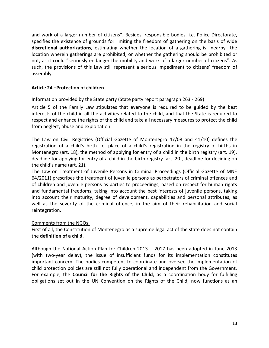and work of a larger number of citizens". Besides, responsible bodies, i.e. Police Directorate, specifies the existence of grounds for limiting the freedom of gathering on the basis of wide **discretional authorizations,** estimating whether the location of a gathering is "nearby" the location wherein gatherings are prohibited, or whether the gathering should be prohibited or not, as it could "seriously endanger the mobility and work of a larger number of citizens". As such, the provisions of this Law still represent a serious impediment to citizens' freedom of assembly.

#### **Article 24 –Protection of children**

#### Information provided by the State party (State party report paragraph 263 - 269):

Article 5 of the Family Law stipulates that everyone is required to be guided by the best interests of the child in all the activities related to the child, and that the State is required to respect and enhance the rights of the child and take all necessary measures to protect the child from neglect, abuse and exploitation.

The Law on Civil Registries (Official Gazette of Montenegro 47/08 and 41/10) defines the registration of a child's birth i.e. place of a child's registration in the registry of births in Montenegro (art. 18), the method of applying for entry of a child in the birth registry (art. 19), deadline for applying for entry of a child in the birth registry (art. 20), deadline for deciding on the child's name (art. 21).

The Law on Treatment of Juvenile Persons in Criminal Proceedings (Official Gazette of MNE 64/2011) prescribes the treatment of juvenile persons as perpetrators of criminal offences and of children and juvenile persons as parties to proceedings, based on respect for human rights and fundamental freedoms, taking into account the best interests of juvenile persons, taking into account their maturity, degree of development, capabilities and personal attributes, as well as the severity of the criminal offence, in the aim of their rehabilitation and social reintegration.

# Comments from the NGOs:

First of all, the Constitution of Montenegro as a supreme legal act of the state does not contain the **definition of a child**.

Although the National Action Plan for Children 2013 – 2017 has been adopted in June 2013 (with two-year delay), the issue of insufficient funds for its implementation constitutes important concern. The bodies competent to coordinate and oversee the implementation of child protection policies are still not fully operational and independent from the Government. For example, the **Council for the Rights of the Child**, as a coordination body for fulfilling obligations set out in the UN Convention on the Rights of the Child, now functions as an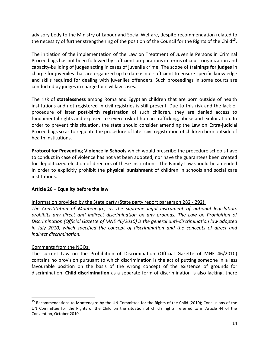advisory body to the Ministry of Labour and Social Welfare, despite recommendation related to the necessity of further strengthening of the position of the Council for the Rights of the Child $^{15}$ .

The initiation of the implementation of the Law on Treatment of Juvenile Persons in Criminal Proceedings has not been followed by sufficient preparations in terms of court organization and capacity-building of judges acting in cases of juvenile crime. The scope of **trainings for judges** in charge for juveniles that are organized up to date is not sufficient to ensure specific knowledge and skills required for dealing with juveniles offenders. Such proceedings in some courts are conducted by judges in charge for civil law cases.

The risk of **statelessness** among Roma and Egyptian children that are born outside of health institutions and not registered in civil registries is still present. Due to this risk and the lack of procedure of later **post-birth registration** of such children, they are denied access to fundamental rights and exposed to severe risk of human trafficking, abuse and exploitation. In order to prevent this situation, the state should consider amending the Law on Extra-judicial Proceedings so as to regulate the procedure of later civil registration of children born outside of health institutions.

**Protocol for Preventing Violence in Schools** which would prescribe the procedure schools have to conduct in case of violence has not yet been adopted, nor have the guarantees been created for depoliticized election of directors of these institutions. The Family Law should be amended In order to explicitly prohibit the **physical punishment** of children in schools and social care institutions.

# **Article 26 – Equality before the law**

Information provided by the State party (State party report paragraph 282 - 292):

*The Constitution of Montenegro, as the supreme legal instrument of national legislation, prohibits any direct and indirect discrimination on any grounds. The Law on Prohibition of Discrimination (Official Gazette of MNE 46/2010) is the general anti-discrimination law adopted in July 2010, which specified the concept of discrimination and the concepts of direct and indirect discrimination.* 

# Comments from the NGOs:

 $\overline{\phantom{a}}$ 

The current Law on the Prohibition of Discrimination (Official Gazette of MNE 46/2010) contains no provision pursuant to which discrimination is the act of putting someone in a less favourable position on the basis of the wrong concept of the existence of grounds for discrimination. **Child discrimination** as a separate form of discrimination is also lacking, there

<sup>&</sup>lt;sup>15</sup> Recommendations to Montenegro by the UN Committee for the Rights of the Child (2010); Conclusions of the UN Committee for the Rights of the Child on the situation of child's rights, referred to in Article 44 of the Convention, October 2010.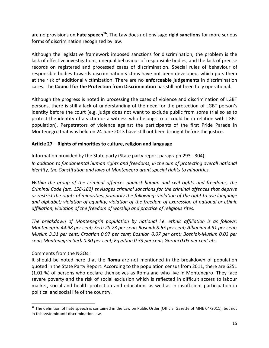are no provisions on **hate speech<sup>16</sup>** . The Law does not envisage **rigid sanctions** for more serious forms of discrimination recognized by law.

Although the legislative framework imposed sanctions for discrimination, the problem is the lack of effective investigations, unequal behaviour of responsible bodies, and the lack of precise records on registered and processed cases of discrimination. Special rules of behaviour of responsible bodies towards discrimination victims have not been developed, which puts them at the risk of additional victimization. There are no **enforceable judgements** in discrimination cases. The **Council for the Protection from Discrimination** has still not been fully operational.

Although the progress is noted in processing the cases of violence and discrimination of LGBT persons, there is still a lack of understanding of the need for the protection of LGBT person's identity before the court (e.g. judge does not want to exclude public from some trial so as to protect the identity of a victim or a witness who belongs to or could be in relation with LGBT population). Perpetrators of violence against the participants of the first Pride Parade in Montenegro that was held on 24 June 2013 have still not been brought before the justice.

# **Article 27 – Rights of minorities to culture, religion and language**

# Information provided by the State party (State party report paragraph 293 - 304):

In addition to fundamental human rights and freedoms, in the aim of protecting overall national *identity, the Constitution and laws of Montenegro grant special rights to minorities.* 

*Within the group of the criminal offences against human and civil rights and freedoms, the Criminal Code (art. 158-182) envisages criminal sanctions for the criminal offences that deprive or restrict the rights of minorities, primarily the following: violation of the right to use language and alphabet; violation of equality; violation of the freedom of expression of national or ethnic affiliation; violation of the freedom of worship and practice of religious rites.*

*The breakdown of Montenegrin population by national i.e. ethnic affiliation is as follows: Montenegrin 44.98 per cent; Serb 28.73 per cent; Bosniak 8.65 per cent; Albanian 4.91 per cent; Muslim 3.31 per cent; Croatian 0.97 per cent; Bosnian 0.07 per cent; Bosniak-Muslim 0.03 per cent; Montenegrin-Serb 0.30 per cent; Egyptian 0.33 per cent; Gorani 0.03 per cent etc.*

# Comments from the NGOs:

l

It should be noted here that the **Roma** are not mentioned in the breakdown of population quoted in the State Party Report. According to the population census from 2011, there are 6251 (1.01 %) of persons who declare themselves as Roma and who live in Montenegro. They face severe poverty and the risk of social exclusion which is reflected in difficult access to labour market, social and health protection and education, as well as in insufficient participation in political and social life of the country.

 $16$  The definition of hate speech is contained in the Law on Public Order (Official Gazette of MNE 64/2011), but not in this systemic anti-discrimination law.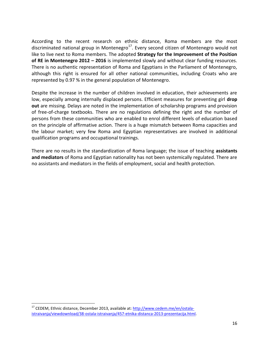According to the recent research on ethnic distance, Roma members are the most discriminated national group in Montenegro<sup>17</sup>. Every second citizen of Montenegro would not like to live next to Roma members. The adopted **Strategy for the Improvement of the Position of RE in Montenegro 2012 – 2016** is implemented slowly and without clear funding resources. There is no authentic representation of Roma and Egyptians in the Parliament of Montenegro, although this right is ensured for all other national communities, including Croats who are represented by 0.97 % in the general population of Montenegro.

Despite the increase in the number of children involved in education, their achievements are low, especially among internally displaced persons. Efficient measures for preventing girl **drop out** are missing. Delays are noted in the implementation of scholarship programs and provision of free-of-charge textbooks. There are no regulations defining the right and the number of persons from these communities who are enabled to enrol different levels of education based on the principle of affirmative action. There is a huge mismatch between Roma capacities and the labour market; very few Roma and Egyptian representatives are involved in additional qualification programs and occupational trainings.

There are no results in the standardization of Roma language; the issue of teaching **assistants and mediators** of Roma and Egyptian nationality has not been systemically regulated. There are no assistants and mediators in the fields of employment, social and health protection.

l

<sup>&</sup>lt;sup>17</sup> CEDEM, Ethnic distance, December 2013, available at[: http://www.cedem.me/en/ostala](http://www.cedem.me/en/ostala-istraivanja/viewdownload/38-ostala-istraivanja/457-etnika-distanca-2013-prezentacija.html)[istraivanja/viewdownload/38-ostala-istraivanja/457-etnika-distanca-2013-prezentacija.html.](http://www.cedem.me/en/ostala-istraivanja/viewdownload/38-ostala-istraivanja/457-etnika-distanca-2013-prezentacija.html)